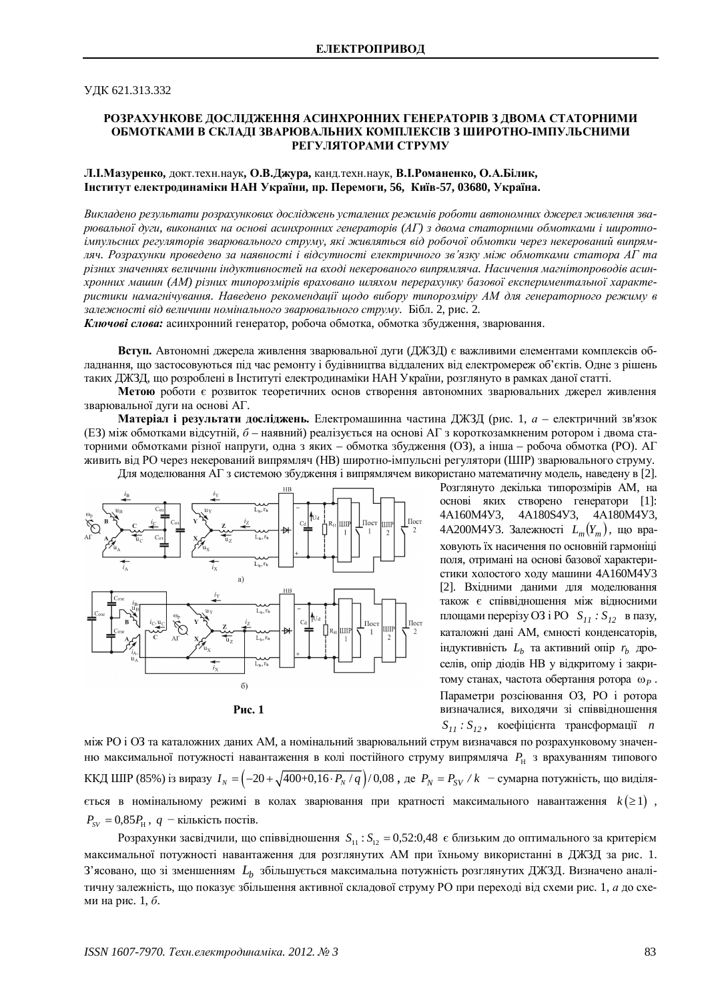## ɍȾɄ 621.313.332

# РОЗРАХУНКОВЕ ДОСЛІДЖЕННЯ АСИНХРОННИХ ГЕНЕРАТОРІВ З ДВОМА СТАТОРНИМИ ОБМОТКАМИ В СКЛАДІ ЗВАРЮВАЛЬНИХ КОМПЛЕКСІВ З ШИРОТНО-ІМПУЛЬСНИМИ РЕГУЛЯТОРАМИ СТРУМУ

## **Л.** Мазуренко, докт.техн.наук, О.В. Джура, канд.техн.наук, В.І. Романенко, О.А. Білик,  $I$ нститут електродинаміки НАН України, пр. Перемоги, 56, Київ-57, 03680, Україна.

Викладено результати розрахункових досліджень усталених режимів роботи автономних джерел живлення зварювальної дуги, виконаних на основі асинхронних генераторів (АГ) з двома статорними обмотками і широтно*iмпульсних регуляторів зварювального струму, які живляться від робочої обмотки через некерований випрям*дяч. Розрахунки проведено за наявності і відсутності електричного зв'язку між обмотками статора AГ та *ɪɿɡɧɢɯɡɧɚɱɟɧɧɹɯɜɟɥɢɱɢɧɢɿɧɞɭɤɬɢɜɧɨɫɬɟɣɧɚɜɯɨɞɿɧɟɤɟɪɨɜɚɧɨɝɨɜɢɩɪɹɦɥɹɱɚ. ɇɚɫɢɱɟɧɧɹɦɚɝɧɿɬɨɩɪɨɜɨɞɿɜɚɫɢɧ*хронних машин (АМ) різних типорозмірів враховано шляхом перерахунку базової експериментальної характеристики намагнічування. Наведено рекомендації щодо вибору типорозміру АМ для генераторного режиму в залежності від величини номінального зварювального струму. Бібл. 2, рис. 2.

**Ключові слова:** асинхронний генератор, робоча обмотка, обмотка збудження, зварювання.

Вступ. Автономні джерела живлення зварювальної дуги (ДЖЗД) є важливими елементами комплексів обладнання, що застосовуються під час ремонту і будівництва віддалених від електромереж об'єктів. Одне з рішень таких ДЖЗД, що розроблені в Інституті електродинаміки НАН України, розглянуто в рамках даної статті.

Метою роботи є розвиток теоретичних основ створення автономних зварювальних джерел живлення зварювальної дуги на основі АГ.

**Матеріал і результати досліджень.** Електромашинна частина ДЖЗД (рис. 1, *а* – електричний зв'язок (ЕЗ) між обмотками відсутній, *б* – наявний) реалізується на основі АГ з короткозамкненим ротором і двома статорними обмотками різної напруги, одна з яких – обмотка збудження (O3), а інша – робоча обмотка (PO). АГ живить від РО через некерований випрямляч (НВ) широтно-імпульсні регулятори (ШІР) зварювального струму. Для моделювання АГ з системою збудження і випрямлячем використано математичну модель, наведену в [2].

Пост ШІ  $\overline{\mathbf{L}_{\mathbf{b}}, \mathbf{r}}$  $a)$  $L_{\rm b}$ ,  $r_{\rm b}$ D Ш  $L_{\rm{L}}$  $L_{\rm b}$ ,  $r_{\rm b}$  $\sigma$ 

Pис. 1

Розглянуто декілька типорозмірів АМ, на основі яких створено генератори [1]: 4A160M4Y3, 4A180S4Y3, 4A180M4Y3, 4A200M4У3. Залежності  $L_m(Y_m)$ , що враховують їх насичення по основній гармоніці поля, отримані на основі базової характеристики холостого ходу машини 4А160М4У3 [2]. Вхілними ланими лля молелювання також є співвідношення між відносними площами перерізу ОЗ і РО  $S_{11}$ :  $S_{12}$  в пазу, каталожні дані АМ, ємності конденсаторів, iндуктивнiсть  $L_b$  та активний опip  $r_b$  дроселів, опір діодів НВ у відкритому і закритому станах, частота обертання ротора  $\omega_P$ . Параметри розсіювання ОЗ, РО і ротора визначалися, виходячи зі співвідношення  $S_{11}$  *:*  $S_{12}$ , коефіцієнта трансформації *n* 

між РО і ОЗ та каталожних даних АМ, а номінальний зварювальний струм визначався по розрахунковому значенню максимальної потужності навантаження в колі постійного струму випрямляча  $\,P_{\rm H}\,$  з врахуванням типового ККД ШІР (85%) із виразу  $I_N = \left(-20 + \sqrt{400 + 0, 16 \cdot P_N / q}\right) / 0.08$ , де  $P_N = P_{SV} / k$  - сумарна потужність, що виділяється в номінальному режимі в колах зварювання при кратності максимального навантаження  $k(\geq 1)$ ,  $P_{SV} = 0.85 P_{H}$ ,  $q$  – кількість постів.

Розрахунки засвідчили, що співвідношення  $S_{11}$ :  $S_{12} = 0,52:0,48$  є близьким до оптимального за критерієм максимальної потужності навантаження для розглянутих АМ при їхньому використанні в ДЖЗД за рис. 1. З'ясовано, що зі зменшенням  $L_b$  збільшується максимальна потужність розглянутих ДЖЗД. Визначено аналітичну залежність, що показує збільшення активної складової струму РО при переході від схеми рис. 1, а до схеми на рис. 1, *б*.